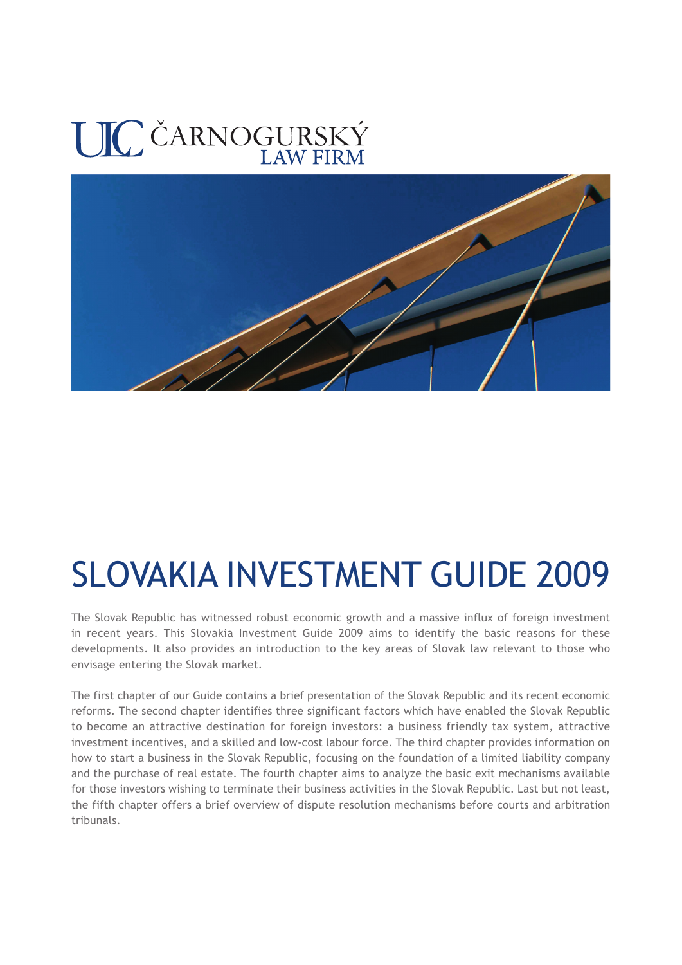# UIC ČARNOGURSKÝ



# SLOVAKIA INVESTMENT GUIDE 2009

The Slovak Republic has witnessed robust economic growth and a massive influx of foreign investment in recent years. This Slovakia Investment Guide 2009 aims to identify the basic reasons for these developments. It also provides an introduction to the key areas of Slovak law relevant to those who envisage entering the Slovak market.

The first chapter of our Guide contains a brief presentation of the Slovak Republic and its recent economic reforms. The second chapter identifies three significant factors which have enabled the Slovak Republic to become an attractive destination for foreign investors: a business friendly tax system, attractive investment incentives, and a skilled and low-cost labour force. The third chapter provides information on how to start a business in the Slovak Republic, focusing on the foundation of a limited liability company and the purchase of real estate. The fourth chapter aims to analyze the basic exit mechanisms available for those investors wishing to terminate their business activities in the Slovak Republic. Last but not least, the fifth chapter offers a brief overview of dispute resolution mechanisms before courts and arbitration tribunals.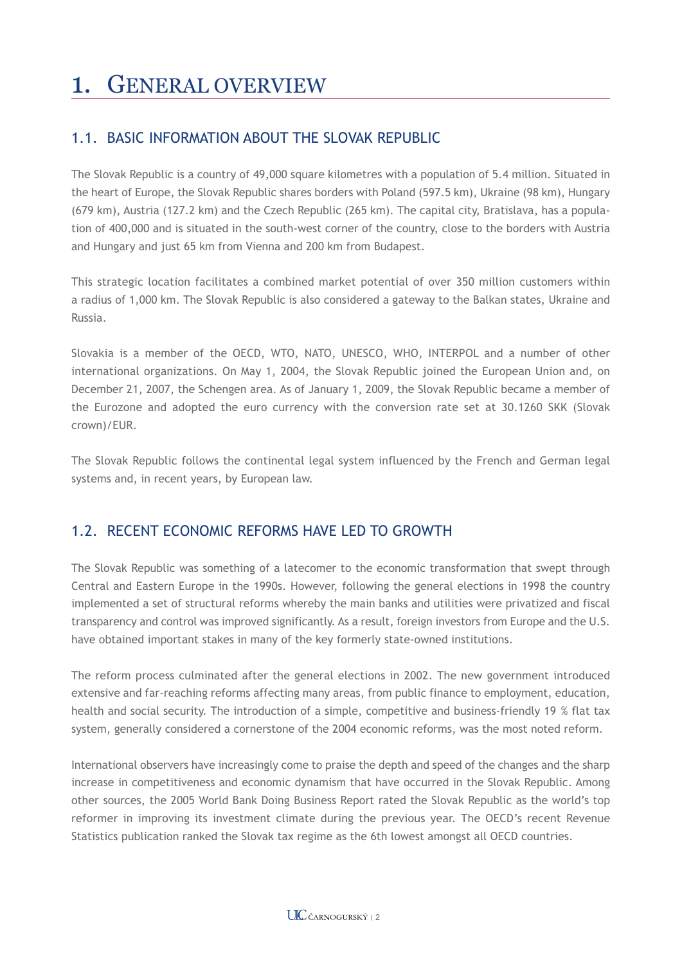# 1. GENERAL OVERVIEW

## 1.1. BASIC INFORMATION ABOUT THE SLOVAK REPUBLIC

The Slovak Republic is a country of 49,000 square kilometres with a population of 5.4 million. Situated in the heart of Europe, the Slovak Republic shares borders with Poland (597.5 km), Ukraine (98 km), Hungary (679 km), Austria (127.2 km) and the Czech Republic (265 km). The capital city, Bratislava, has a population of 400,000 and is situated in the south-west corner of the country, close to the borders with Austria and Hungary and just 65 km from Vienna and 200 km from Budapest.

This strategic location facilitates a combined market potential of over 350 million customers within a radius of 1,000 km. The Slovak Republic is also considered a gateway to the Balkan states, Ukraine and Russia.

Slovakia is a member of the OECD, WTO, NATO, UNESCO, WHO, INTERPOL and a number of other international organizations. On May 1, 2004, the Slovak Republic joined the European Union and, on December 21, 2007, the Schengen area. As of January 1, 2009, the Slovak Republic became a member of the Eurozone and adopted the euro currency with the conversion rate set at 30.1260 SKK (Slovak crown)/EUR.

The Slovak Republic follows the continental legal system influenced by the French and German legal systems and, in recent years, by European law.

## 1.2. RECENT ECONOMIC REFORMS HAVE LED TO GROWTH

The Slovak Republic was something of a latecomer to the economic transformation that swept through Central and Eastern Europe in the 1990s. However, following the general elections in 1998 the country implemented a set of structural reforms whereby the main banks and utilities were privatized and fiscal transparency and control was improved significantly. As a result, foreign investors from Europe and the U.S. have obtained important stakes in many of the key formerly state-owned institutions.

The reform process culminated after the general elections in 2002. The new government introduced extensive and far-reaching reforms affecting many areas, from public finance to employment, education, health and social security. The introduction of a simple, competitive and business-friendly 19 % flat tax system, generally considered a cornerstone of the 2004 economic reforms, was the most noted reform.

International observers have increasingly come to praise the depth and speed of the changes and the sharp increase in competitiveness and economic dynamism that have occurred in the Slovak Republic. Among other sources, the 2005 World Bank Doing Business Report rated the Slovak Republic as the world's top reformer in improving its investment climate during the previous year. The OECD's recent Revenue Statistics publication ranked the Slovak tax regime as the 6th lowest amongst all OECD countries.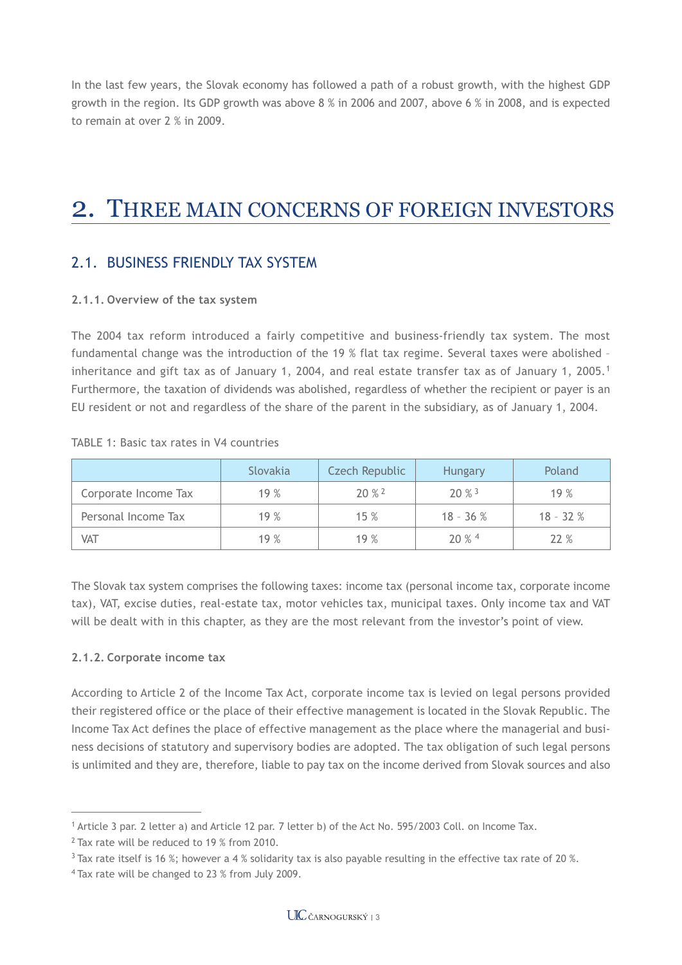In the last few years, the Slovak economy has followed a path of a robust growth, with the highest GDP growth in the region. Its GDP growth was above 8 % in 2006 and 2007, above 6 % in 2008, and is expected to remain at over 2 % in 2009.

## 2. THREE MAIN CONCERNS OF FOREIGN INVESTORS

## 2.1. BUSINESS FRIENDLY TAX SYSTEM

#### **2.1.1. Overview of the tax system**

The 2004 tax reform introduced a fairly competitive and business-friendly tax system. The most fundamental change was the introduction of the 19 % flat tax regime. Several taxes were abolished – inheritance and gift tax as of January 1, 2004, and real estate transfer tax as of January 1, 2005.<sup>1</sup> Furthermore, the taxation of dividends was abolished, regardless of whether the recipient or payer is an EU resident or not and regardless of the share of the parent in the subsidiary, as of January 1, 2004.

|  |  |  |  |  |  |  | TABLE 1: Basic tax rates in V4 countries |
|--|--|--|--|--|--|--|------------------------------------------|
|--|--|--|--|--|--|--|------------------------------------------|

|                      | <b>Slovakia</b> | Czech Republic     | <b>Hungary</b>       | Poland     |
|----------------------|-----------------|--------------------|----------------------|------------|
| Corporate Income Tax | 19%             | $20%$ <sup>2</sup> | $20 \%$ <sup>3</sup> | 19%        |
| Personal Income Tax  | 19%             | 15%                | $18 - 36 %$          | $18 - 32%$ |
| VAT                  | 19%             | 19%                | $20\%$ <sup>4</sup>  | 22%        |

The Slovak tax system comprises the following taxes: income tax (personal income tax, corporate income tax), VAT, excise duties, real-estate tax, motor vehicles tax, municipal taxes. Only income tax and VAT will be dealt with in this chapter, as they are the most relevant from the investor's point of view.

#### **2.1.2. Corporate income tax**

According to Article 2 of the Income Tax Act, corporate income tax is levied on legal persons provided their registered office or the place of their effective management is located in the Slovak Republic. The Income Tax Act defines the place of effective management as the place where the managerial and business decisions of statutory and supervisory bodies are adopted. The tax obligation of such legal persons is unlimited and they are, therefore, liable to pay tax on the income derived from Slovak sources and also

<sup>1</sup> Article 3 par. 2 letter a) and Article 12 par. 7 letter b) of the Act No. 595/2003 Coll. on Income Tax.

<sup>&</sup>lt;sup>2</sup> Tax rate will be reduced to 19 % from 2010.

 $3$  Tax rate itself is 16 %; however a 4 % solidarity tax is also payable resulting in the effective tax rate of 20 %.

<sup>4</sup> Tax rate will be changed to 23 % from July 2009.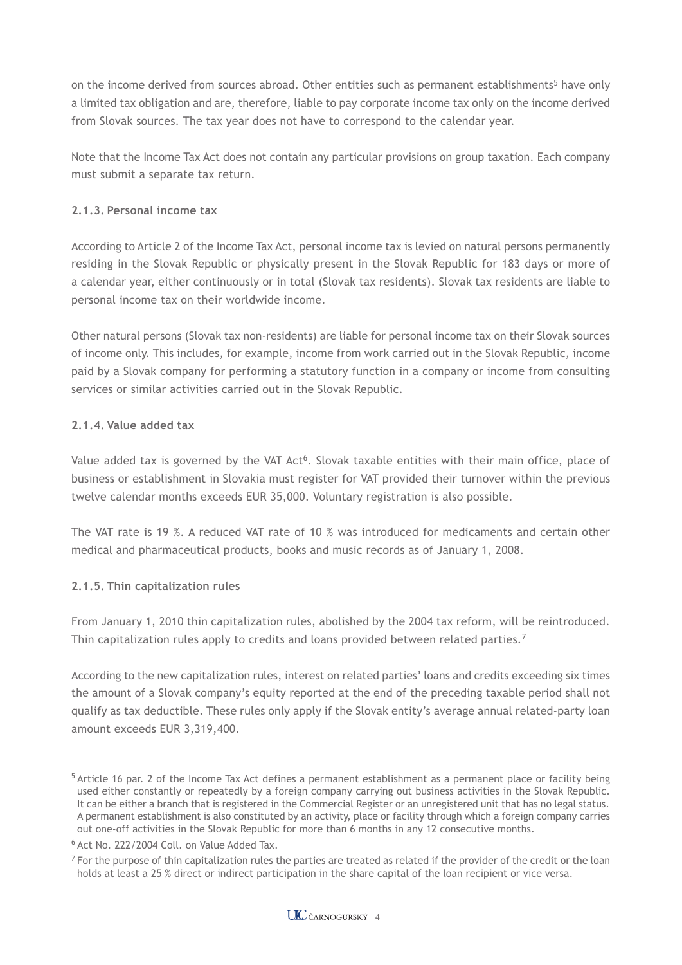on the income derived from sources abroad. Other entities such as permanent establishments<sup>5</sup> have only a limited tax obligation and are, therefore, liable to pay corporate income tax only on the income derived from Slovak sources. The tax year does not have to correspond to the calendar year.

Note that the Income Tax Act does not contain any particular provisions on group taxation. Each company must submit a separate tax return.

### **2.1.3. Personal income tax**

According to Article 2 of the Income Tax Act, personal income tax is levied on natural persons permanently residing in the Slovak Republic or physically present in the Slovak Republic for 183 days or more of a calendar year, either continuously or in total (Slovak tax residents). Slovak tax residents are liable to personal income tax on their worldwide income.

Other natural persons (Slovak tax non-residents) are liable for personal income tax on their Slovak sources of income only. This includes, for example, income from work carried out in the Slovak Republic, income paid by a Slovak company for performing a statutory function in a company or income from consulting services or similar activities carried out in the Slovak Republic.

### **2.1.4. Value added tax**

Value added tax is governed by the VAT Act<sup>6</sup>. Slovak taxable entities with their main office, place of business or establishment in Slovakia must register for VAT provided their turnover within the previous twelve calendar months exceeds EUR 35,000. Voluntary registration is also possible.

The VAT rate is 19 %. A reduced VAT rate of 10 % was introduced for medicaments and certain other medical and pharmaceutical products, books and music records as of January 1, 2008.

#### **2.1.5. Thin capitalization rules**

From January 1, 2010 thin capitalization rules, abolished by the 2004 tax reform, will be reintroduced. Thin capitalization rules apply to credits and loans provided between related parties.<sup>7</sup>

According to the new capitalization rules, interest on related parties' loans and credits exceeding six times the amount of a Slovak company's equity reported at the end of the preceding taxable period shall not qualify as tax deductible. These rules only apply if the Slovak entity's average annual related-party loan amount exceeds EUR 3,319,400.

<sup>5</sup> Article 16 par. 2 of the Income Tax Act defines a permanent establishment as a permanent place or facility being used either constantly or repeatedly by a foreign company carrying out business activities in the Slovak Republic. It can be either a branch that is registered in the Commercial Register or an unregistered unit that has no legal status. A permanent establishment is also constituted by an activity, place or facility through which a foreign company carries out one-off activities in the Slovak Republic for more than 6 months in any 12 consecutive months.

<sup>6</sup> Act No. 222/2004 Coll. on Value Added Tax.

 $<sup>7</sup>$  For the purpose of thin capitalization rules the parties are treated as related if the provider of the credit or the loan</sup> holds at least a 25 % direct or indirect participation in the share capital of the loan recipient or vice versa.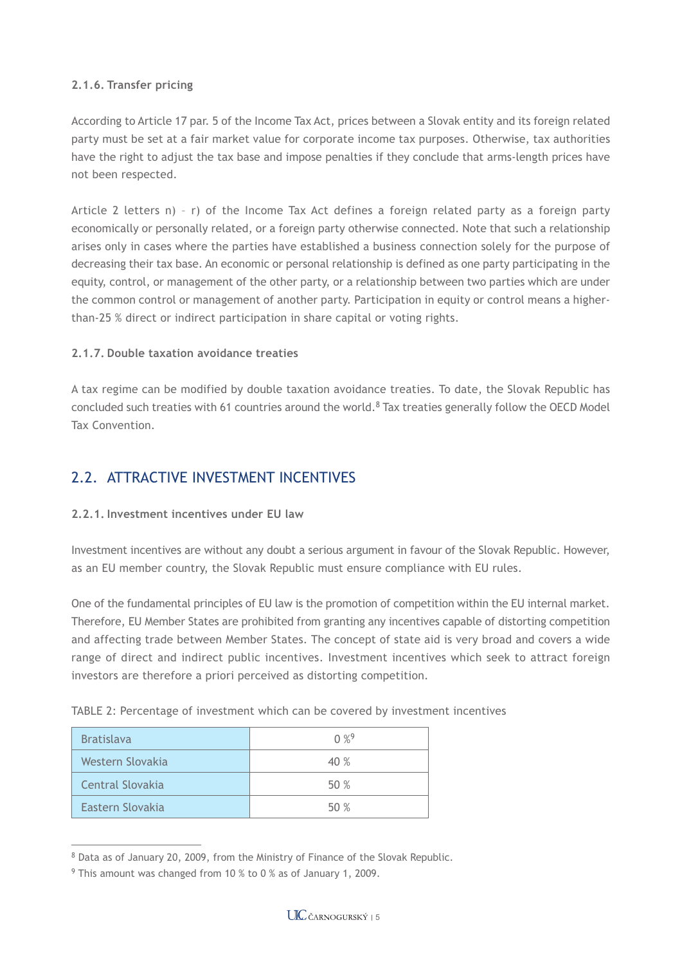#### **2.1.6. Transfer pricing**

According to Article 17 par. 5 of the Income Tax Act, prices between a Slovak entity and its foreign related party must be set at a fair market value for corporate income tax purposes. Otherwise, tax authorities have the right to adjust the tax base and impose penalties if they conclude that arms-length prices have not been respected.

Article 2 letters n) – r) of the Income Tax Act defines a foreign related party as a foreign party economically or personally related, or a foreign party otherwise connected. Note that such a relationship arises only in cases where the parties have established a business connection solely for the purpose of decreasing their tax base. An economic or personal relationship is defined as one party participating in the equity, control, or management of the other party, or a relationship between two parties which are under the common control or management of another party. Participation in equity or control means a higherthan-25 % direct or indirect participation in share capital or voting rights.

#### **2.1.7. Double taxation avoidance treaties**

A tax regime can be modified by double taxation avoidance treaties. To date, the Slovak Republic has concluded such treaties with 61 countries around the world.<sup>8</sup> Tax treaties generally follow the OECD Model Tax Convention.

## 2.2. ATTRACTIVE INVESTMENT INCENTIVES

#### **2.2.1. Investment incentives under EU law**

Investment incentives are without any doubt a serious argument in favour of the Slovak Republic. However, as an EU member country, the Slovak Republic must ensure compliance with EU rules.

One of the fundamental principles of EU law is the promotion of competition within the EU internal market. Therefore, EU Member States are prohibited from granting any incentives capable of distorting competition and affecting trade between Member States. The concept of state aid is very broad and covers a wide range of direct and indirect public incentives. Investment incentives which seek to attract foreign investors are therefore a priori perceived as distorting competition.

|  |  |  |  | TABLE 2: Percentage of investment which can be covered by investment incentives |  |
|--|--|--|--|---------------------------------------------------------------------------------|--|
|  |  |  |  |                                                                                 |  |

| <b>Bratislava</b> | $0\%$ <sup>9</sup> |
|-------------------|--------------------|
| Western Slovakia  | 40 %               |
| Central Slovakia  | 50%                |
| Eastern Slovakia  | 50 %               |

<sup>8</sup> Data as of January 20, 2009, from the Ministry of Finance of the Slovak Republic.

<sup>9</sup> This amount was changed from 10 % to 0 % as of January 1, 2009.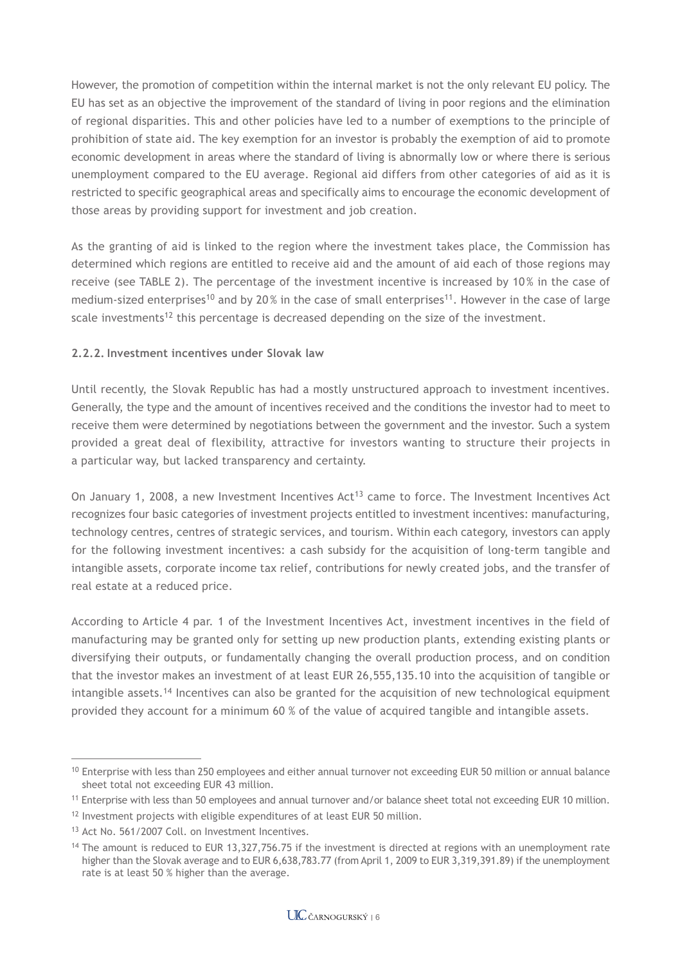However, the promotion of competition within the internal market is not the only relevant EU policy. The EU has set as an objective the improvement of the standard of living in poor regions and the elimination of regional disparities. This and other policies have led to a number of exemptions to the principle of prohibition of state aid. The key exemption for an investor is probably the exemption of aid to promote economic development in areas where the standard of living is abnormally low or where there is serious unemployment compared to the EU average. Regional aid differs from other categories of aid as it is restricted to specific geographical areas and specifically aims to encourage the economic development of those areas by providing support for investment and job creation.

As the granting of aid is linked to the region where the investment takes place, the Commission has determined which regions are entitled to receive aid and the amount of aid each of those regions may receive (see TABLE 2). The percentage of the investment incentive is increased by 10 % in the case of medium-sized enterprises<sup>10</sup> and by 20% in the case of small enterprises<sup>11</sup>. However in the case of large scale investments<sup>12</sup> this percentage is decreased depending on the size of the investment.

### **2.2.2. Investment incentives under Slovak law**

Until recently, the Slovak Republic has had a mostly unstructured approach to investment incentives. Generally, the type and the amount of incentives received and the conditions the investor had to meet to receive them were determined by negotiations between the government and the investor. Such a system provided a great deal of flexibility, attractive for investors wanting to structure their projects in a particular way, but lacked transparency and certainty.

On January 1, 2008, a new Investment Incentives Act<sup>13</sup> came to force. The Investment Incentives Act recognizes four basic categories of investment projects entitled to investment incentives: manufacturing, technology centres, centres of strategic services, and tourism. Within each category, investors can apply for the following investment incentives: a cash subsidy for the acquisition of long-term tangible and intangible assets, corporate income tax relief, contributions for newly created jobs, and the transfer of real estate at a reduced price.

According to Article 4 par. 1 of the Investment Incentives Act, investment incentives in the field of manufacturing may be granted only for setting up new production plants, extending existing plants or diversifying their outputs, or fundamentally changing the overall production process, and on condition that the investor makes an investment of at least EUR 26,555,135.10 into the acquisition of tangible or intangible assets.<sup>14</sup> Incentives can also be granted for the acquisition of new technological equipment provided they account for a minimum 60 % of the value of acquired tangible and intangible assets.

<sup>&</sup>lt;sup>10</sup> Enterprise with less than 250 employees and either annual turnover not exceeding EUR 50 million or annual balance sheet total not exceeding EUR 43 million.

<sup>&</sup>lt;sup>11</sup> Enterprise with less than 50 employees and annual turnover and/or balance sheet total not exceeding EUR 10 million.

<sup>&</sup>lt;sup>12</sup> Investment projects with eligible expenditures of at least EUR 50 million.

<sup>&</sup>lt;sup>13</sup> Act No. 561/2007 Coll. on Investment Incentives.

<sup>&</sup>lt;sup>14</sup> The amount is reduced to EUR 13,327,756.75 if the investment is directed at regions with an unemployment rate higher than the Slovak average and to EUR 6,638,783.77 (from April 1, 2009 to EUR 3,319,391.89) if the unemployment rate is at least 50 % higher than the average.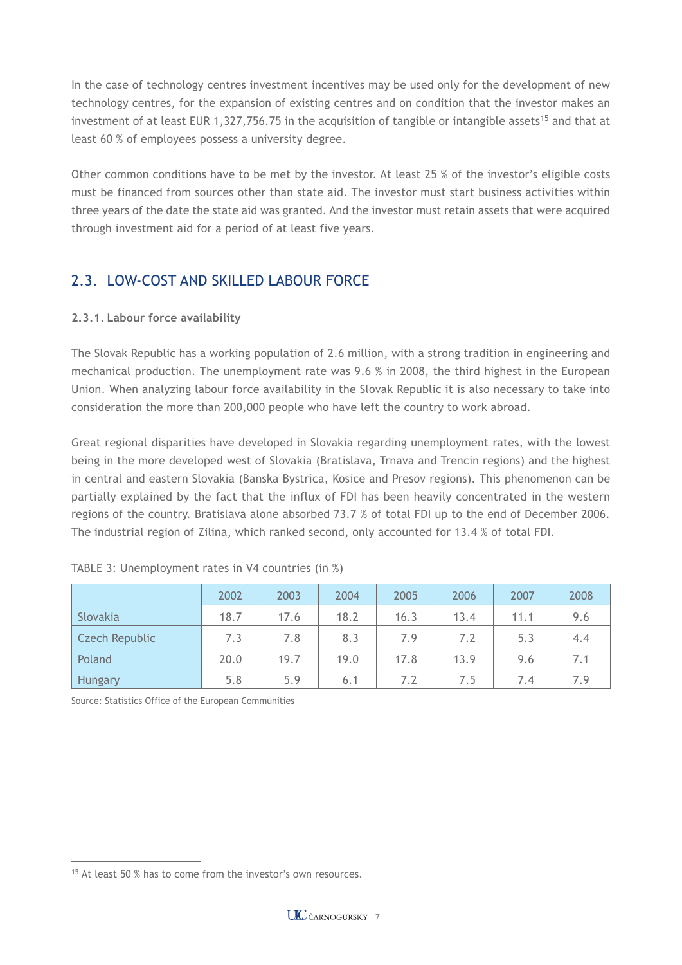In the case of technology centres investment incentives may be used only for the development of new technology centres, for the expansion of existing centres and on condition that the investor makes an investment of at least EUR 1,327,756.75 in the acquisition of tangible or intangible assets<sup>15</sup> and that at least 60 % of employees possess a university degree.

Other common conditions have to be met by the investor. At least 25 % of the investor's eligible costs must be financed from sources other than state aid. The investor must start business activities within three years of the date the state aid was granted. And the investor must retain assets that were acquired through investment aid for a period of at least five years.

## 2.3. LOW-COST AND SKILLED LABOUR FORCE

### **2.3.1. Labour force availability**

The Slovak Republic has a working population of 2.6 million, with a strong tradition in engineering and mechanical production. The unemployment rate was 9.6 % in 2008, the third highest in the European Union. When analyzing labour force availability in the Slovak Republic it is also necessary to take into consideration the more than 200,000 people who have left the country to work abroad.

Great regional disparities have developed in Slovakia regarding unemployment rates, with the lowest being in the more developed west of Slovakia (Bratislava, Trnava and Trencin regions) and the highest in central and eastern Slovakia (Banska Bystrica, Kosice and Presov regions). This phenomenon can be partially explained by the fact that the influx of FDI has been heavily concentrated in the western regions of the country. Bratislava alone absorbed 73.7 % of total FDI up to the end of December 2006. The industrial region of Zilina, which ranked second, only accounted for 13.4 % of total FDI.

|                | 2002 | 2003 | 2004 | 2005 | 2006 | 2007 | 2008 |
|----------------|------|------|------|------|------|------|------|
| Slovakia       | 18.7 | 17.6 | 18.2 | 16.3 | 13.4 | 11.1 | 9.6  |
| Czech Republic | 7.3  | 7.8  | 8.3  | 7.9  | 7.2  | 5.3  | 4.4  |
| Poland         | 20.0 | 19.7 | 19.0 | 17.8 | 13.9 | 9.6  | 7.1  |
| <b>Hungary</b> | 5.8  | 5.9  | 6.1  | 7.2  | 7.5  | 7.4  | 7.9  |

|  |  |  | TABLE 3: Unemployment rates in V4 countries (in %) |  |
|--|--|--|----------------------------------------------------|--|
|  |  |  |                                                    |  |

Source: Statistics Office of the European Communities

<sup>&</sup>lt;sup>15</sup> At least 50 % has to come from the investor's own resources.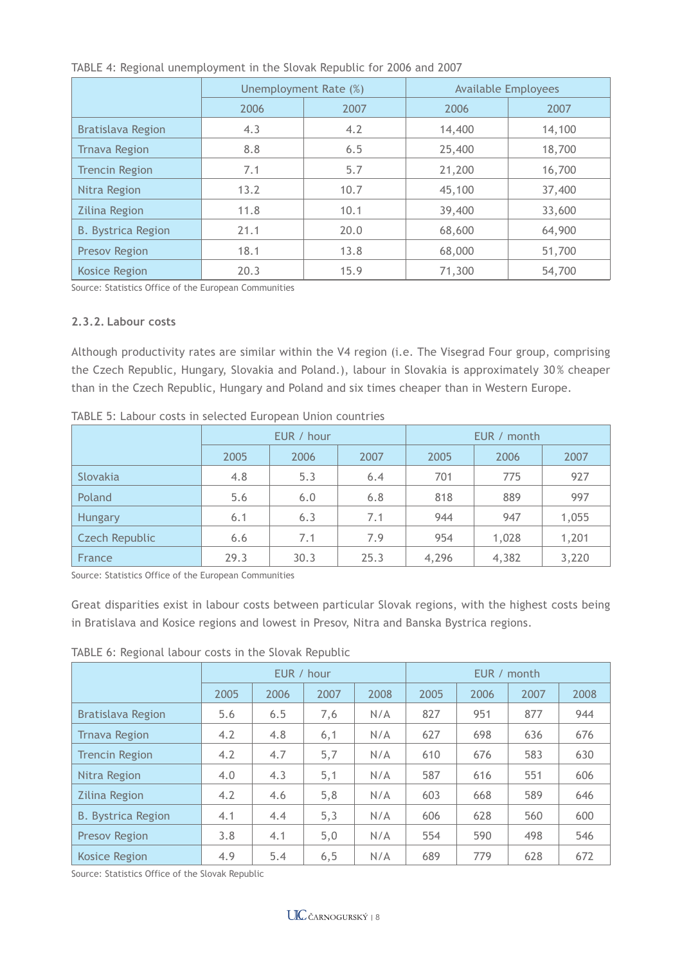|                           |      | Unemployment Rate (%) | <b>Available Employees</b> |        |  |  |
|---------------------------|------|-----------------------|----------------------------|--------|--|--|
|                           | 2006 | 2007                  | 2006                       | 2007   |  |  |
| <b>Bratislava Region</b>  | 4.3  | 4.2                   | 14,400                     | 14,100 |  |  |
| <b>Trnava Region</b>      | 8.8  | 6.5                   | 25,400                     | 18,700 |  |  |
| <b>Trencin Region</b>     | 7.1  | 5.7                   | 21,200                     | 16,700 |  |  |
| Nitra Region              | 13.2 | 10.7                  | 45,100                     | 37,400 |  |  |
| <b>Zilina Region</b>      | 11.8 | 10.1                  | 39,400                     | 33,600 |  |  |
| <b>B. Bystrica Region</b> | 21.1 | 20.0                  | 68,600                     | 64,900 |  |  |
| <b>Presov Region</b>      | 18.1 | 13.8                  | 68,000                     | 51,700 |  |  |
| <b>Kosice Region</b>      | 20.3 | 15.9                  | 71,300                     | 54,700 |  |  |

TABLE 4: Regional unemployment in the Slovak Republic for 2006 and 2007

Source: Statistics Office of the European Communities

#### **2.3.2. Labour costs**

Although productivity rates are similar within the V4 region (i.e. The Visegrad Four group, comprising the Czech Republic, Hungary, Slovakia and Poland.), labour in Slovakia is approximately 30 % cheaper than in the Czech Republic, Hungary and Poland and six times cheaper than in Western Europe.

|                       |      | EUR / hour |      | EUR / month |       |       |  |  |
|-----------------------|------|------------|------|-------------|-------|-------|--|--|
|                       | 2005 | 2006       | 2007 | 2005        | 2006  | 2007  |  |  |
| Slovakia              | 4.8  | 5.3        | 6.4  | 701         | 775   | 927   |  |  |
| Poland                | 5.6  | 6.0        | 6.8  | 818         | 889   | 997   |  |  |
| Hungary               | 6.1  | 6.3        | 7.1  | 944         | 947   | 1,055 |  |  |
| <b>Czech Republic</b> | 6.6  | 7.1        | 7.9  | 954         | 1,028 | 1,201 |  |  |
| France                | 29.3 | 30.3       | 25.3 | 4,296       | 4,382 | 3,220 |  |  |

TABLE 5: Labour costs in selected European Union countries

Source: Statistics Office of the European Communities

Great disparities exist in labour costs between particular Slovak regions, with the highest costs being in Bratislava and Kosice regions and lowest in Presov, Nitra and Banska Bystrica regions.

|                           | EUR / hour |      |      |      | EUR / month |      |      |      |  |
|---------------------------|------------|------|------|------|-------------|------|------|------|--|
|                           | 2005       | 2006 | 2007 | 2008 | 2005        | 2006 | 2007 | 2008 |  |
| Bratislava Region         | 5.6        | 6.5  | 7,6  | N/A  | 827         | 951  | 877  | 944  |  |
| <b>Trnava Region</b>      | 4.2        | 4.8  | 6,1  | N/A  | 627         | 698  | 636  | 676  |  |
| <b>Trencin Region</b>     | 4.2        | 4.7  | 5,7  | N/A  | 610         | 676  | 583  | 630  |  |
| Nitra Region              | 4.0        | 4.3  | 5,1  | N/A  | 587         | 616  | 551  | 606  |  |
| <b>Zilina Region</b>      | 4.2        | 4.6  | 5,8  | N/A  | 603         | 668  | 589  | 646  |  |
| <b>B. Bystrica Region</b> | 4.1        | 4.4  | 5,3  | N/A  | 606         | 628  | 560  | 600  |  |
| <b>Presov Region</b>      | 3.8        | 4.1  | 5,0  | N/A  | 554         | 590  | 498  | 546  |  |
| <b>Kosice Region</b>      | 4.9        | 5.4  | 6, 5 | N/A  | 689         | 779  | 628  | 672  |  |

TABLE 6: Regional labour costs in the Slovak Republic

Source: Statistics Office of the Slovak Republic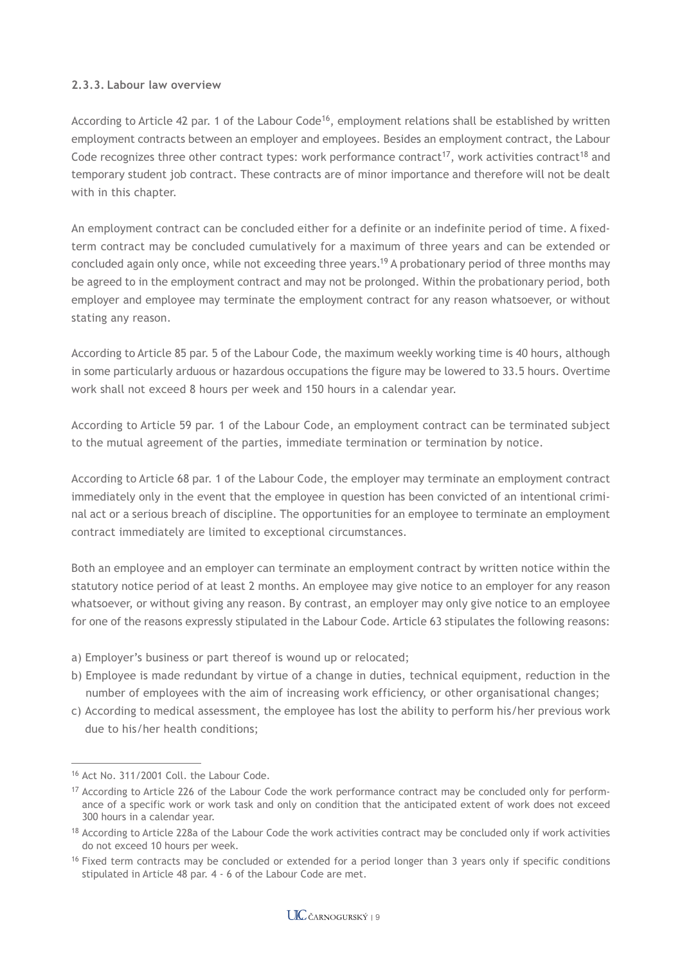#### **2.3.3. Labour law overview**

According to Article 42 par. 1 of the Labour Code<sup>16</sup>, employment relations shall be established by written employment contracts between an employer and employees. Besides an employment contract, the Labour Code recognizes three other contract types: work performance contract<sup>17</sup>, work activities contract<sup>18</sup> and temporary student job contract. These contracts are of minor importance and therefore will not be dealt with in this chapter.

An employment contract can be concluded either for a definite or an indefinite period of time. A fixedterm contract may be concluded cumulatively for a maximum of three years and can be extended or concluded again only once, while not exceeding three years.19 A probationary period of three months may be agreed to in the employment contract and may not be prolonged. Within the probationary period, both employer and employee may terminate the employment contract for any reason whatsoever, or without stating any reason.

According to Article 85 par. 5 of the Labour Code, the maximum weekly working time is 40 hours, although in some particularly arduous or hazardous occupations the figure may be lowered to 33.5 hours. Overtime work shall not exceed 8 hours per week and 150 hours in a calendar year.

According to Article 59 par. 1 of the Labour Code, an employment contract can be terminated subject to the mutual agreement of the parties, immediate termination or termination by notice.

According to Article 68 par. 1 of the Labour Code, the employer may terminate an employment contract immediately only in the event that the employee in question has been convicted of an intentional criminal act or a serious breach of discipline. The opportunities for an employee to terminate an employment contract immediately are limited to exceptional circumstances.

Both an employee and an employer can terminate an employment contract by written notice within the statutory notice period of at least 2 months. An employee may give notice to an employer for any reason whatsoever, or without giving any reason. By contrast, an employer may only give notice to an employee for one of the reasons expressly stipulated in the Labour Code. Article 63 stipulates the following reasons:

- a) Employer's business or part thereof is wound up or relocated;
- b) Employee is made redundant by virtue of a change in duties, technical equipment, reduction in the number of employees with the aim of increasing work efficiency, or other organisational changes;
- c) According to medical assessment, the employee has lost the ability to perform his/her previous work due to his/her health conditions;

<sup>16</sup> Act No. 311/2001 Coll. the Labour Code.

<sup>&</sup>lt;sup>17</sup> According to Article 226 of the Labour Code the work performance contract may be concluded only for performance of a specific work or work task and only on condition that the anticipated extent of work does not exceed 300 hours in a calendar year.

 $18$  According to Article 228a of the Labour Code the work activities contract may be concluded only if work activities do not exceed 10 hours per week.

<sup>&</sup>lt;sup>16</sup> Fixed term contracts may be concluded or extended for a period longer than 3 years only if specific conditions stipulated in Article 48 par. 4 - 6 of the Labour Code are met.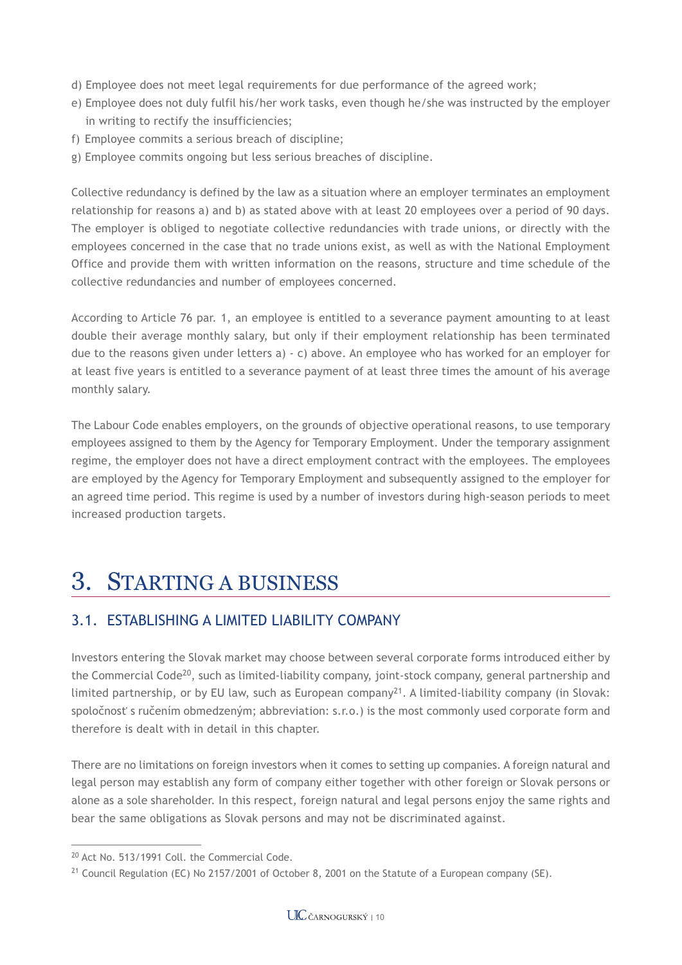- d) Employee does not meet legal requirements for due performance of the agreed work;
- e) Employee does not duly fulfil his/her work tasks, even though he/she was instructed by the employer in writing to rectify the insufficiencies;
- f) Employee commits a serious breach of discipline;
- g) Employee commits ongoing but less serious breaches of discipline.

Collective redundancy is defined by the law as a situation where an employer terminates an employment relationship for reasons a) and b) as stated above with at least 20 employees over a period of 90 days. The employer is obliged to negotiate collective redundancies with trade unions, or directly with the employees concerned in the case that no trade unions exist, as well as with the National Employment Office and provide them with written information on the reasons, structure and time schedule of the collective redundancies and number of employees concerned.

According to Article 76 par. 1, an employee is entitled to a severance payment amounting to at least double their average monthly salary, but only if their employment relationship has been terminated due to the reasons given under letters a) - c) above. An employee who has worked for an employer for at least five years is entitled to a severance payment of at least three times the amount of his average monthly salary.

The Labour Code enables employers, on the grounds of objective operational reasons, to use temporary employees assigned to them by the Agency for Temporary Employment. Under the temporary assignment regime, the employer does not have a direct employment contract with the employees. The employees are employed by the Agency for Temporary Employment and subsequently assigned to the employer for an agreed time period. This regime is used by a number of investors during high-season periods to meet increased production targets.

## 3. STARTING A BUSINESS

## 3.1. ESTABLISHING A LIMITED LIABILITY COMPANY

Investors entering the Slovak market may choose between several corporate forms introduced either by the Commercial Code20, such as limited-liability company, joint-stock company, general partnership and limited partnership, or by EU law, such as European company<sup>21</sup>. A limited-liability company (in Slovak: spoločnosť s ručením obmedzeným; abbreviation: s.r.o.) is the most commonly used corporate form and therefore is dealt with in detail in this chapter.

There are no limitations on foreign investors when it comes to setting up companies. A foreign natural and legal person may establish any form of company either together with other foreign or Slovak persons or alone as a sole shareholder. In this respect, foreign natural and legal persons enjoy the same rights and bear the same obligations as Slovak persons and may not be discriminated against.

<sup>20</sup> Act No. 513/1991 Coll. the Commercial Code.

<sup>&</sup>lt;sup>21</sup> Council Regulation (EC) No 2157/2001 of October 8, 2001 on the Statute of a European company (SE).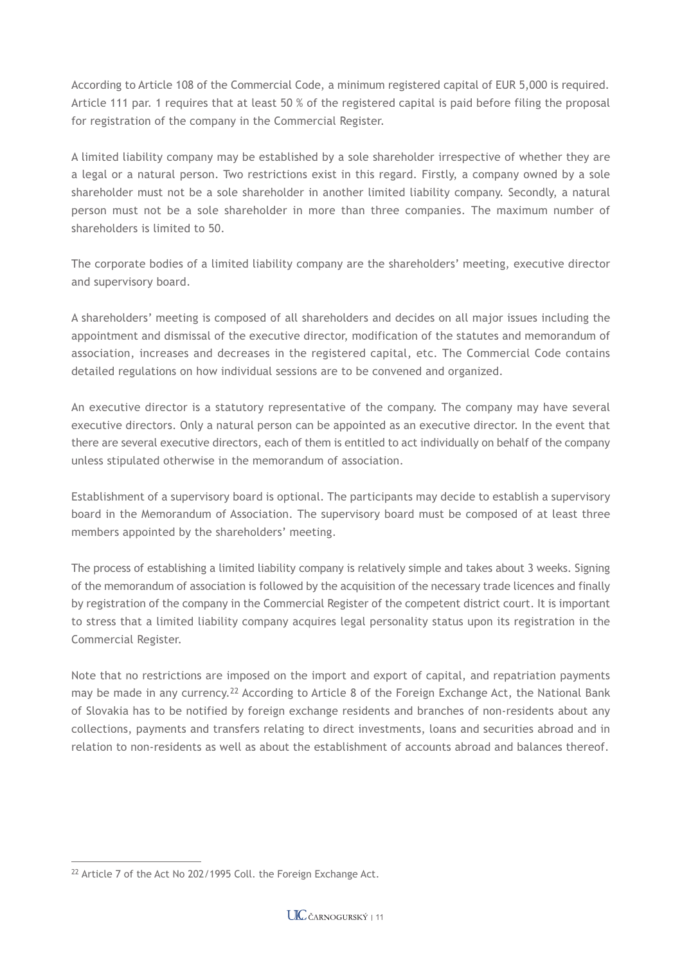According to Article 108 of the Commercial Code, a minimum registered capital of EUR 5,000 is required. Article 111 par. 1 requires that at least 50 % of the registered capital is paid before filing the proposal for registration of the company in the Commercial Register.

A limited liability company may be established by a sole shareholder irrespective of whether they are a legal or a natural person. Two restrictions exist in this regard. Firstly, a company owned by a sole shareholder must not be a sole shareholder in another limited liability company. Secondly, a natural person must not be a sole shareholder in more than three companies. The maximum number of shareholders is limited to 50.

The corporate bodies of a limited liability company are the shareholders' meeting, executive director and supervisory board.

A shareholders' meeting is composed of all shareholders and decides on all major issues including the appointment and dismissal of the executive director, modification of the statutes and memorandum of association, increases and decreases in the registered capital, etc. The Commercial Code contains detailed regulations on how individual sessions are to be convened and organized.

An executive director is a statutory representative of the company. The company may have several executive directors. Only a natural person can be appointed as an executive director. In the event that there are several executive directors, each of them is entitled to act individually on behalf of the company unless stipulated otherwise in the memorandum of association.

Establishment of a supervisory board is optional. The participants may decide to establish a supervisory board in the Memorandum of Association. The supervisory board must be composed of at least three members appointed by the shareholders' meeting.

The process of establishing a limited liability company is relatively simple and takes about 3 weeks. Signing of the memorandum of association is followed by the acquisition of the necessary trade licences and finally by registration of the company in the Commercial Register of the competent district court. It is important to stress that a limited liability company acquires legal personality status upon its registration in the Commercial Register.

Note that no restrictions are imposed on the import and export of capital, and repatriation payments may be made in any currency.<sup>22</sup> According to Article 8 of the Foreign Exchange Act, the National Bank of Slovakia has to be notified by foreign exchange residents and branches of non-residents about any collections, payments and transfers relating to direct investments, loans and securities abroad and in relation to non-residents as well as about the establishment of accounts abroad and balances thereof.

<sup>&</sup>lt;sup>22</sup> Article 7 of the Act No 202/1995 Coll. the Foreign Exchange Act.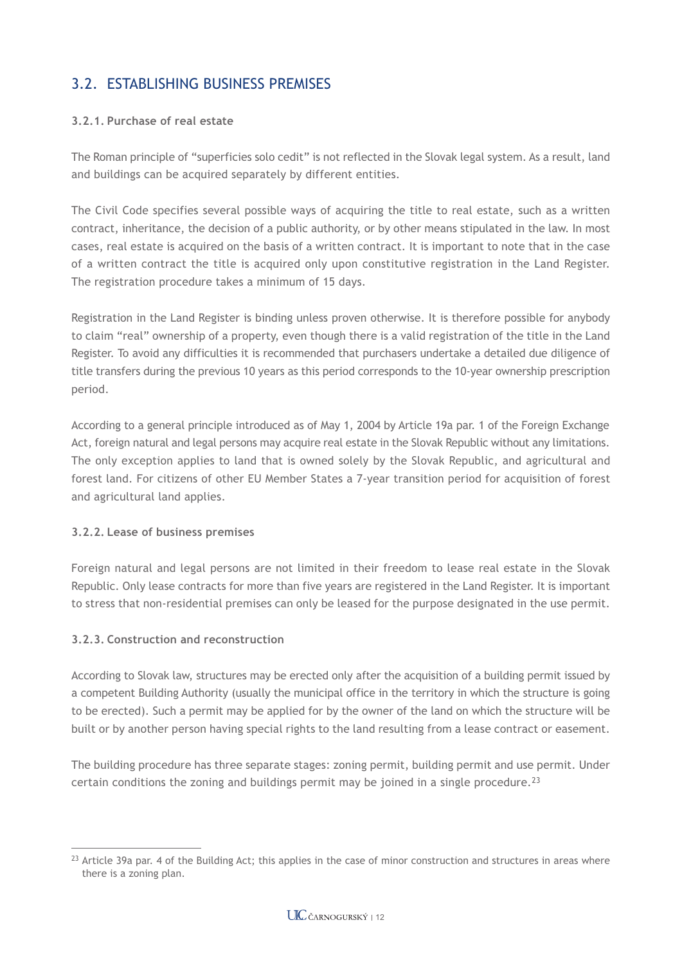## 3.2. ESTABLISHING BUSINESS PREMISES

#### **3.2.1. Purchase of real estate**

The Roman principle of "superficies solo cedit" is not reflected in the Slovak legal system. As a result, land and buildings can be acquired separately by different entities.

The Civil Code specifies several possible ways of acquiring the title to real estate, such as a written contract, inheritance, the decision of a public authority, or by other means stipulated in the law. In most cases, real estate is acquired on the basis of a written contract. It is important to note that in the case of a written contract the title is acquired only upon constitutive registration in the Land Register. The registration procedure takes a minimum of 15 days.

Registration in the Land Register is binding unless proven otherwise. It is therefore possible for anybody to claim "real" ownership of a property, even though there is a valid registration of the title in the Land Register. To avoid any difficulties it is recommended that purchasers undertake a detailed due diligence of title transfers during the previous 10 years as this period corresponds to the 10-year ownership prescription period.

According to a general principle introduced as of May 1, 2004 by Article 19a par. 1 of the Foreign Exchange Act, foreign natural and legal persons may acquire real estate in the Slovak Republic without any limitations. The only exception applies to land that is owned solely by the Slovak Republic, and agricultural and forest land. For citizens of other EU Member States a 7-year transition period for acquisition of forest and agricultural land applies.

#### **3.2.2. Lease of business premises**

Foreign natural and legal persons are not limited in their freedom to lease real estate in the Slovak Republic. Only lease contracts for more than five years are registered in the Land Register. It is important to stress that non-residential premises can only be leased for the purpose designated in the use permit.

#### **3.2.3. Construction and reconstruction**

According to Slovak law, structures may be erected only after the acquisition of a building permit issued by a competent Building Authority (usually the municipal office in the territory in which the structure is going to be erected). Such a permit may be applied for by the owner of the land on which the structure will be built or by another person having special rights to the land resulting from a lease contract or easement.

The building procedure has three separate stages: zoning permit, building permit and use permit. Under certain conditions the zoning and buildings permit may be joined in a single procedure.<sup>23</sup>

 $^{23}$  Article 39a par. 4 of the Building Act; this applies in the case of minor construction and structures in areas where there is a zoning plan.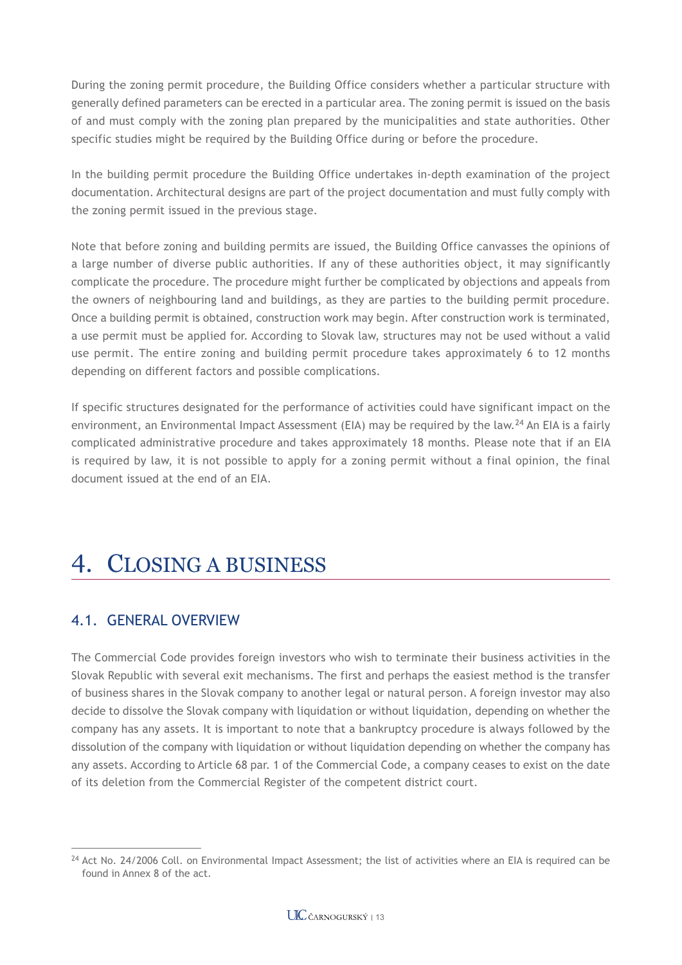During the zoning permit procedure, the Building Office considers whether a particular structure with generally defined parameters can be erected in a particular area. The zoning permit is issued on the basis of and must comply with the zoning plan prepared by the municipalities and state authorities. Other specific studies might be required by the Building Office during or before the procedure.

In the building permit procedure the Building Office undertakes in-depth examination of the project documentation. Architectural designs are part of the project documentation and must fully comply with the zoning permit issued in the previous stage.

Note that before zoning and building permits are issued, the Building Office canvasses the opinions of a large number of diverse public authorities. If any of these authorities object, it may significantly complicate the procedure. The procedure might further be complicated by objections and appeals from the owners of neighbouring land and buildings, as they are parties to the building permit procedure. Once a building permit is obtained, construction work may begin. After construction work is terminated, a use permit must be applied for. According to Slovak law, structures may not be used without a valid use permit. The entire zoning and building permit procedure takes approximately 6 to 12 months depending on different factors and possible complications.

If specific structures designated for the performance of activities could have significant impact on the environment, an Environmental Impact Assessment (EIA) may be required by the law.<sup>24</sup> An EIA is a fairly complicated administrative procedure and takes approximately 18 months. Please note that if an EIA is required by law, it is not possible to apply for a zoning permit without a final opinion, the final document issued at the end of an EIA.

# 4. CLOSING A BUSINESS

## 4.1. GENERAL OVERVIEW

The Commercial Code provides foreign investors who wish to terminate their business activities in the Slovak Republic with several exit mechanisms. The first and perhaps the easiest method is the transfer of business shares in the Slovak company to another legal or natural person. A foreign investor may also decide to dissolve the Slovak company with liquidation or without liquidation, depending on whether the company has any assets. It is important to note that a bankruptcy procedure is always followed by the dissolution of the company with liquidation or without liquidation depending on whether the company has any assets. According to Article 68 par. 1 of the Commercial Code, a company ceases to exist on the date of its deletion from the Commercial Register of the competent district court.

 $24$  Act No. 24/2006 Coll. on Environmental Impact Assessment; the list of activities where an EIA is required can be found in Annex 8 of the act.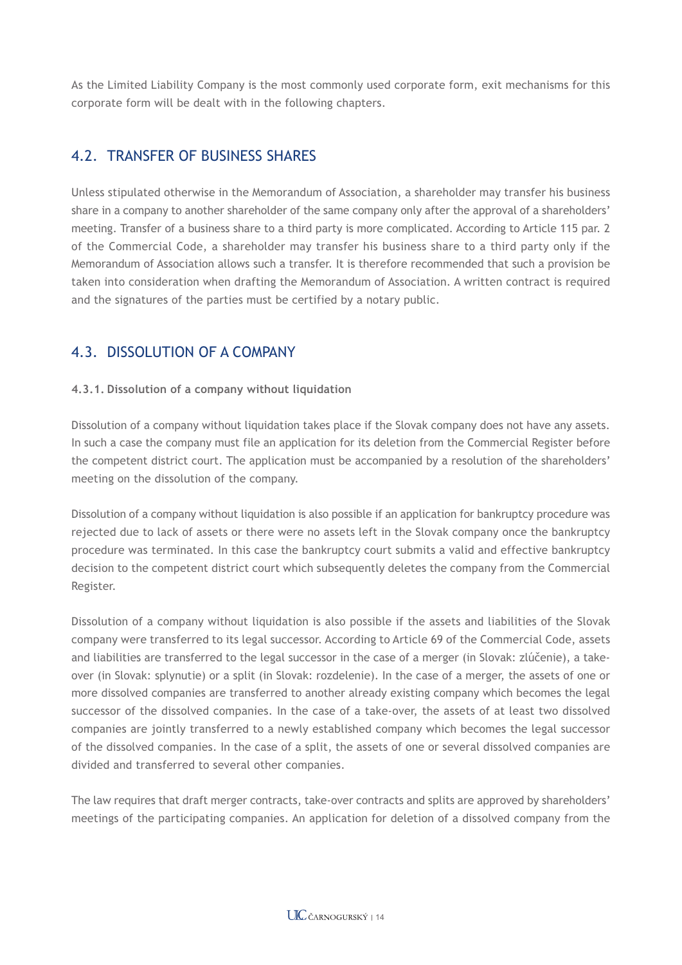As the Limited Liability Company is the most commonly used corporate form, exit mechanisms for this corporate form will be dealt with in the following chapters.

## 4.2. TRANSFER OF BUSINESS SHARES

Unless stipulated otherwise in the Memorandum of Association, a shareholder may transfer his business share in a company to another shareholder of the same company only after the approval of a shareholders' meeting. Transfer of a business share to a third party is more complicated. According to Article 115 par. 2 of the Commercial Code, a shareholder may transfer his business share to a third party only if the Memorandum of Association allows such a transfer. It is therefore recommended that such a provision be taken into consideration when drafting the Memorandum of Association. A written contract is required and the signatures of the parties must be certified by a notary public.

## 4.3. DISSOLUTION OF A COMPANY

### **4.3.1. Dissolution of a company without liquidation**

Dissolution of a company without liquidation takes place if the Slovak company does not have any assets. In such a case the company must file an application for its deletion from the Commercial Register before the competent district court. The application must be accompanied by a resolution of the shareholders' meeting on the dissolution of the company.

Dissolution of a company without liquidation is also possible if an application for bankruptcy procedure was rejected due to lack of assets or there were no assets left in the Slovak company once the bankruptcy procedure was terminated. In this case the bankruptcy court submits a valid and effective bankruptcy decision to the competent district court which subsequently deletes the company from the Commercial Register.

Dissolution of a company without liquidation is also possible if the assets and liabilities of the Slovak company were transferred to its legal successor. According to Article 69 of the Commercial Code, assets and liabilities are transferred to the legal successor in the case of a merger (in Slovak: zlúčenie), a takeover (in Slovak: splynutie) or a split (in Slovak: rozdelenie). In the case of a merger, the assets of one or more dissolved companies are transferred to another already existing company which becomes the legal successor of the dissolved companies. In the case of a take-over, the assets of at least two dissolved companies are jointly transferred to a newly established company which becomes the legal successor of the dissolved companies. In the case of a split, the assets of one or several dissolved companies are divided and transferred to several other companies.

The law requires that draft merger contracts, take-over contracts and splits are approved by shareholders' meetings of the participating companies. An application for deletion of a dissolved company from the

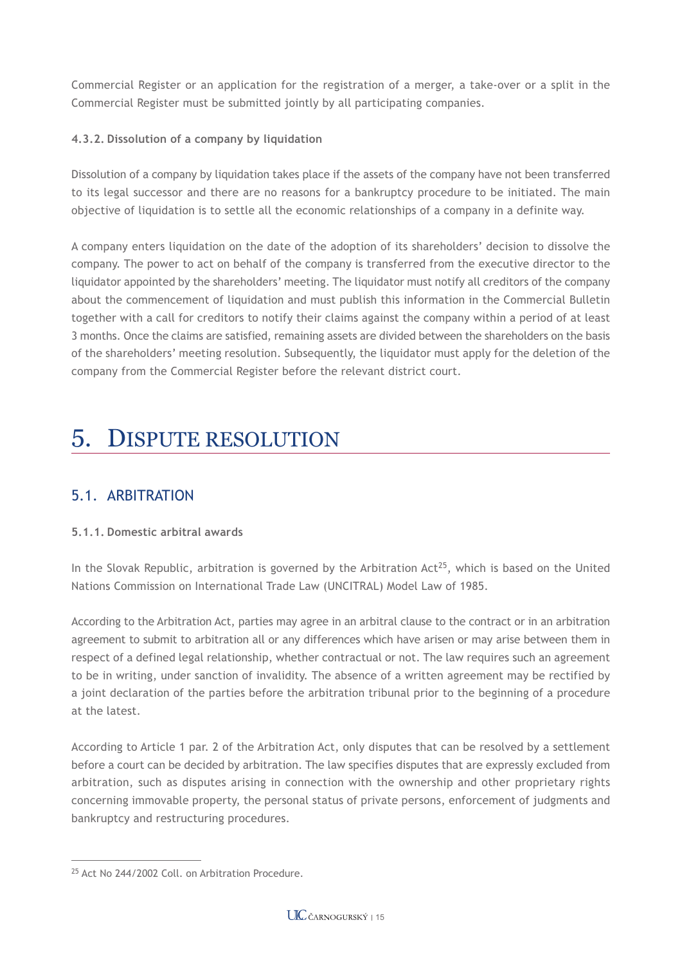Commercial Register or an application for the registration of a merger, a take-over or a split in the Commercial Register must be submitted jointly by all participating companies.

### **4.3.2. Dissolution of a company by liquidation**

Dissolution of a company by liquidation takes place if the assets of the company have not been transferred to its legal successor and there are no reasons for a bankruptcy procedure to be initiated. The main objective of liquidation is to settle all the economic relationships of a company in a definite way.

A company enters liquidation on the date of the adoption of its shareholders' decision to dissolve the company. The power to act on behalf of the company is transferred from the executive director to the liquidator appointed by the shareholders' meeting. The liquidator must notify all creditors of the company about the commencement of liquidation and must publish this information in the Commercial Bulletin together with a call for creditors to notify their claims against the company within a period of at least 3 months. Once the claims are satisfied, remaining assets are divided between the shareholders on the basis of the shareholders' meeting resolution. Subsequently, the liquidator must apply for the deletion of the company from the Commercial Register before the relevant district court.

## 5. DISPUTE RESOLUTION

## 5.1. ARBITRATION

#### **5.1.1. Domestic arbitral awards**

In the Slovak Republic, arbitration is governed by the Arbitration  $Act^{25}$ , which is based on the United Nations Commission on International Trade Law (UNCITRAL) Model Law of 1985.

According to the Arbitration Act, parties may agree in an arbitral clause to the contract or in an arbitration agreement to submit to arbitration all or any differences which have arisen or may arise between them in respect of a defined legal relationship, whether contractual or not. The law requires such an agreement to be in writing, under sanction of invalidity. The absence of a written agreement may be rectified by a joint declaration of the parties before the arbitration tribunal prior to the beginning of a procedure at the latest.

According to Article 1 par. 2 of the Arbitration Act, only disputes that can be resolved by a settlement before a court can be decided by arbitration. The law specifies disputes that are expressly excluded from arbitration, such as disputes arising in connection with the ownership and other proprietary rights concerning immovable property, the personal status of private persons, enforcement of judgments and bankruptcy and restructuring procedures.

<sup>25</sup> Act No 244/2002 Coll. on Arbitration Procedure.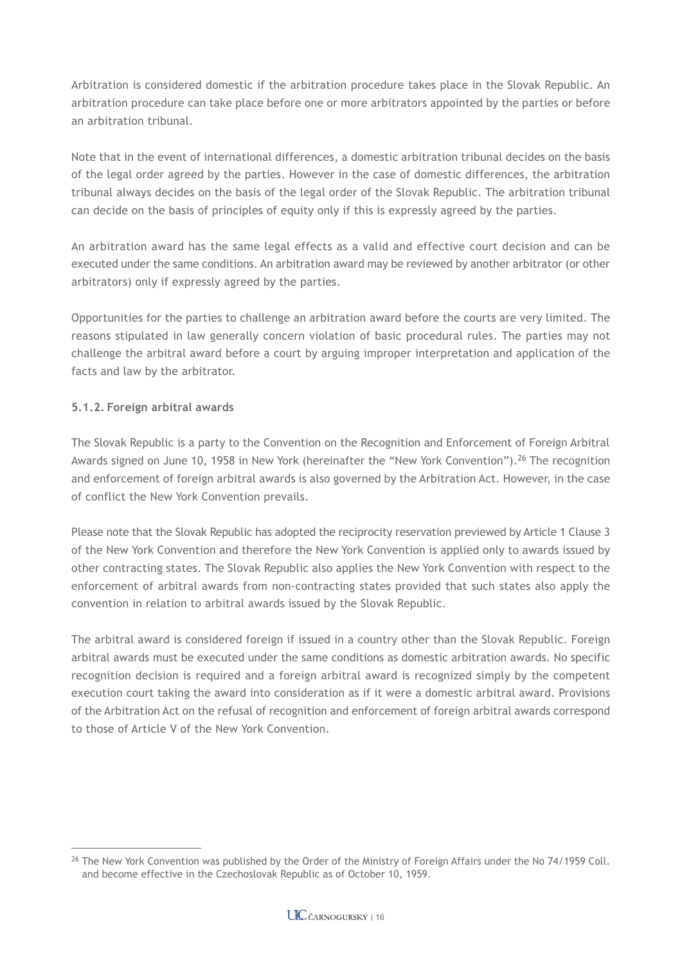Arbitration is considered domestic if the arbitration procedure takes place in the Slovak Republic. An arbitration procedure can take place before one or more arbitrators appointed by the parties or before an arbitration tribunal.

Note that in the event of international differences, a domestic arbitration tribunal decides on the basis of the legal order agreed by the parties. However in the case of domestic differences, the arbitration tribunal always decides on the basis of the legal order of the Slovak Republic. The arbitration tribunal can decide on the basis of principles of equity only if this is expressly agreed by the parties.

An arbitration award has the same legal effects as a valid and effective court decision and can be executed under the same conditions. An arbitration award may be reviewed by another arbitrator (or other arbitrators) only if expressly agreed by the parties.

Opportunities for the parties to challenge an arbitration award before the courts are very limited. The reasons stipulated in law generally concern violation of basic procedural rules. The parties may not challenge the arbitral award before a court by arguing improper interpretation and application of the facts and law by the arbitrator.

#### **5.1.2. Foreign arbitral awards**

The Slovak Republic is a party to the Convention on the Recognition and Enforcement of Foreign Arbitral Awards signed on June 10, 1958 in New York (hereinafter the "New York Convention"). <sup>26</sup> The recognition and enforcement of foreign arbitral awards is also governed by the Arbitration Act. However, in the case of conflict the New York Convention prevails.

Please note that the Slovak Republic has adopted the reciprocity reservation previewed by Article 1 Clause 3 of the New York Convention and therefore the New York Convention is applied only to awards issued by other contracting states. The Slovak Republic also applies the New York Convention with respect to the enforcement of arbitral awards from non-contracting states provided that such states also apply the convention in relation to arbitral awards issued by the Slovak Republic.

The arbitral award is considered foreign if issued in a country other than the Slovak Republic. Foreign arbitral awards must be executed under the same conditions as domestic arbitration awards. No specific recognition decision is required and a foreign arbitral award is recognized simply by the competent execution court taking the award into consideration as if it were a domestic arbitral award. Provisions of the Arbitration Act on the refusal of recognition and enforcement of foreign arbitral awards correspond to those of Article V of the New York Convention.

<sup>&</sup>lt;sup>26</sup> The New York Convention was published by the Order of the Ministry of Foreign Affairs under the No 74/1959 Coll. and become effective in the Czechoslovak Republic as of October 10, 1959.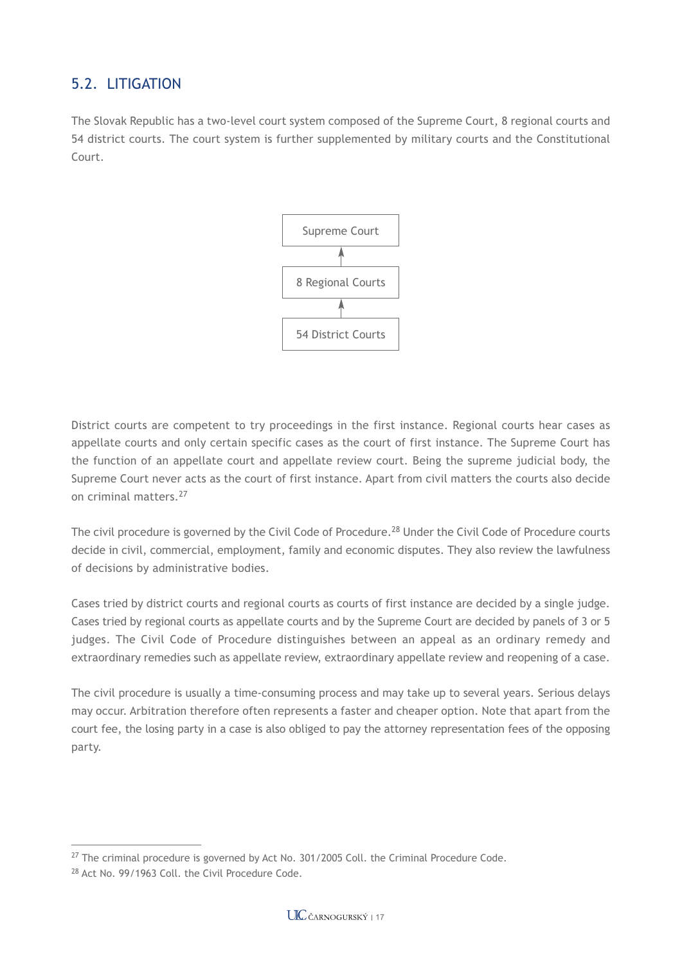## 5.2. LITIGATION

The Slovak Republic has a two-level court system composed of the Supreme Court, 8 regional courts and 54 district courts. The court system is further supplemented by military courts and the Constitutional Court.



District courts are competent to try proceedings in the first instance. Regional courts hear cases as appellate courts and only certain specific cases as the court of first instance. The Supreme Court has the function of an appellate court and appellate review court. Being the supreme judicial body, the Supreme Court never acts as the court of first instance. Apart from civil matters the courts also decide on criminal matters.27

The civil procedure is governed by the Civil Code of Procedure.<sup>28</sup> Under the Civil Code of Procedure courts decide in civil, commercial, employment, family and economic disputes. They also review the lawfulness of decisions by administrative bodies.

Cases tried by district courts and regional courts as courts of first instance are decided by a single judge. Cases tried by regional courts as appellate courts and by the Supreme Court are decided by panels of 3 or 5 judges. The Civil Code of Procedure distinguishes between an appeal as an ordinary remedy and extraordinary remedies such as appellate review, extraordinary appellate review and reopening of a case.

The civil procedure is usually a time-consuming process and may take up to several years. Serious delays may occur. Arbitration therefore often represents a faster and cheaper option. Note that apart from the court fee, the losing party in a case is also obliged to pay the attorney representation fees of the opposing party.

 $27$  The criminal procedure is governed by Act No. 301/2005 Coll. the Criminal Procedure Code.

<sup>28</sup> Act No. 99/1963 Coll. the Civil Procedure Code.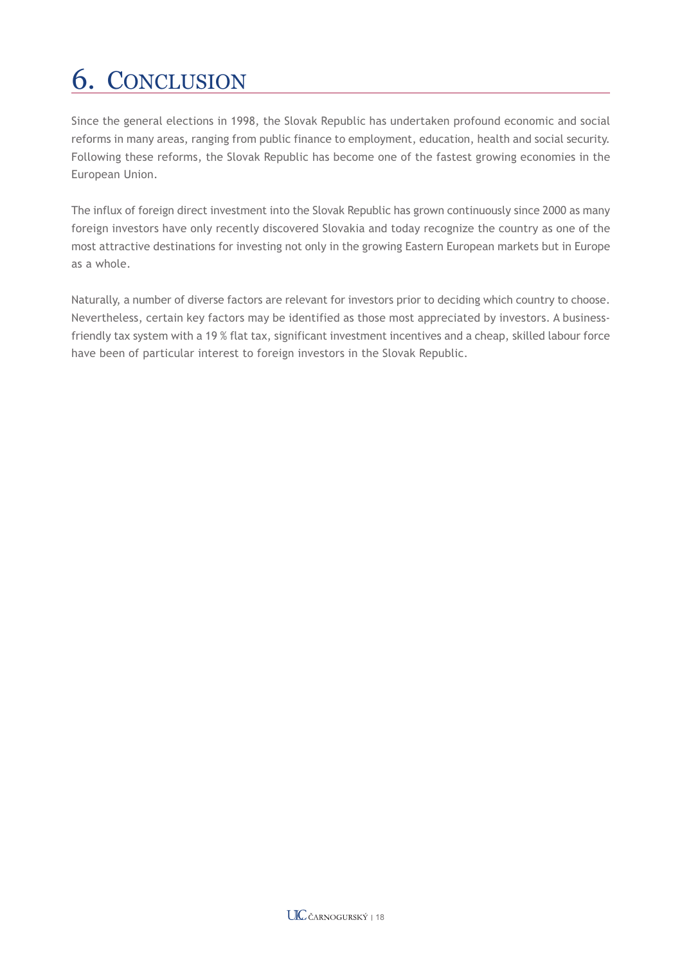# 6. CONCLUSION

Since the general elections in 1998, the Slovak Republic has undertaken profound economic and social reforms in many areas, ranging from public finance to employment, education, health and social security. Following these reforms, the Slovak Republic has become one of the fastest growing economies in the European Union.

The influx of foreign direct investment into the Slovak Republic has grown continuously since 2000 as many foreign investors have only recently discovered Slovakia and today recognize the country as one of the most attractive destinations for investing not only in the growing Eastern European markets but in Europe as a whole.

Naturally, a number of diverse factors are relevant for investors prior to deciding which country to choose. Nevertheless, certain key factors may be identified as those most appreciated by investors. A businessfriendly tax system with a 19 % flat tax, significant investment incentives and a cheap, skilled labour force have been of particular interest to foreign investors in the Slovak Republic.